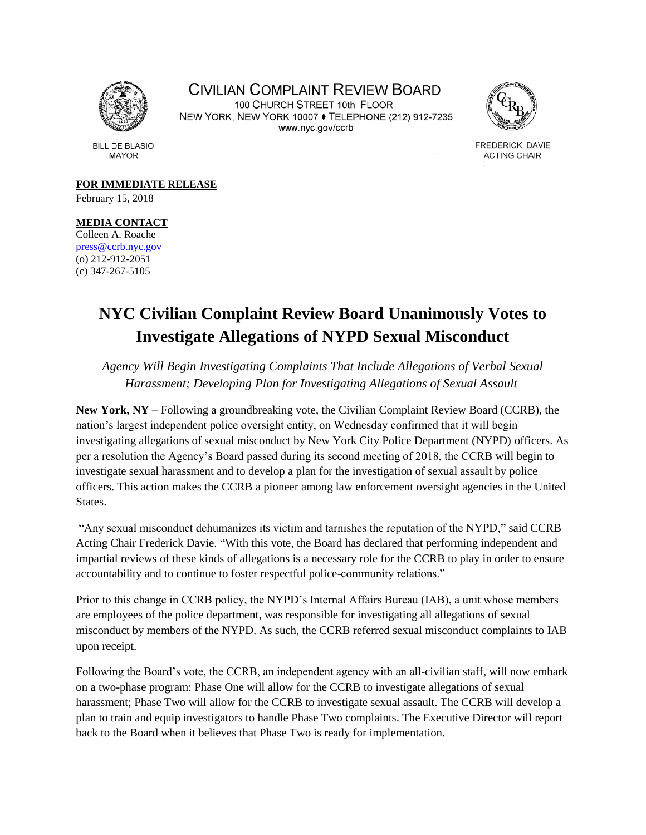

CIVILIAN COMPLAINT REVIEW BOARD 100 CHURCH STREET 10th FLOOR NEW YORK, NEW YORK 10007 ♦ TELEPHONE (212) 912-7235 www.nyc.gov/ccrb



FREDERICK DAVIE **ACTING CHAIR** 

**BILL DE BLASIO MAYOR** 

**FOR IMMEDIATE RELEASE** February 15, 2018

## **MEDIA CONTACT**

Colleen A. Roache [press@ccrb.nyc.gov](mailto:press@ccrb.nyc.gov) (o) 212-912-2051 (c) 347-267-5105

## **NYC Civilian Complaint Review Board Unanimously Votes to Investigate Allegations of NYPD Sexual Misconduct**

*Agency Will Begin Investigating Complaints That Include Allegations of Verbal Sexual Harassment; Developing Plan for Investigating Allegations of Sexual Assault*

**New York, NY –** Following a groundbreaking vote, the Civilian Complaint Review Board (CCRB), the nation's largest independent police oversight entity, on Wednesday confirmed that it will begin investigating allegations of sexual misconduct by New York City Police Department (NYPD) officers. As per a resolution the Agency's Board passed during its second meeting of 2018, the CCRB will begin to investigate sexual harassment and to develop a plan for the investigation of sexual assault by police officers. This action makes the CCRB a pioneer among law enforcement oversight agencies in the United States.

"Any sexual misconduct dehumanizes its victim and tarnishes the reputation of the NYPD," said CCRB Acting Chair Frederick Davie. "With this vote, the Board has declared that performing independent and impartial reviews of these kinds of allegations is a necessary role for the CCRB to play in order to ensure accountability and to continue to foster respectful police-community relations."

Prior to this change in CCRB policy, the NYPD's Internal Affairs Bureau (IAB), a unit whose members are employees of the police department, was responsible for investigating all allegations of sexual misconduct by members of the NYPD. As such, the CCRB referred sexual misconduct complaints to IAB upon receipt.

Following the Board's vote, the CCRB, an independent agency with an all-civilian staff, will now embark on a two-phase program: Phase One will allow for the CCRB to investigate allegations of sexual harassment; Phase Two will allow for the CCRB to investigate sexual assault. The CCRB will develop a plan to train and equip investigators to handle Phase Two complaints. The Executive Director will report back to the Board when it believes that Phase Two is ready for implementation.